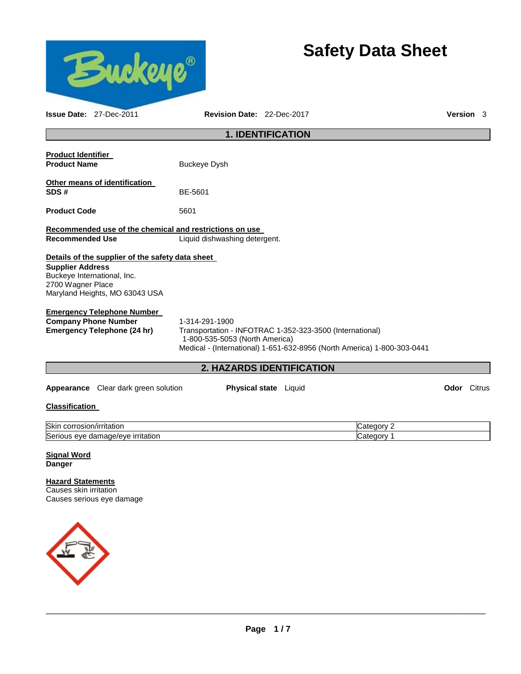

# **Safety Data Sheet**

| <b>Issue Date: 27-Dec-2011</b>                                                                                                                                    | <b>Revision Date: 22-Dec-2017</b>                |                                                                                                                                     |                          | <b>Version</b> 3   |  |
|-------------------------------------------------------------------------------------------------------------------------------------------------------------------|--------------------------------------------------|-------------------------------------------------------------------------------------------------------------------------------------|--------------------------|--------------------|--|
|                                                                                                                                                                   |                                                  | <b>1. IDENTIFICATION</b>                                                                                                            |                          |                    |  |
| <b>Product Identifier</b><br><b>Product Name</b>                                                                                                                  | <b>Buckeye Dysh</b>                              |                                                                                                                                     |                          |                    |  |
| Other means of identification<br>SDS#                                                                                                                             | BE-5601                                          |                                                                                                                                     |                          |                    |  |
| <b>Product Code</b>                                                                                                                                               | 5601                                             |                                                                                                                                     |                          |                    |  |
| Recommended use of the chemical and restrictions on use                                                                                                           |                                                  |                                                                                                                                     |                          |                    |  |
| <b>Recommended Use</b>                                                                                                                                            | Liquid dishwashing detergent.                    |                                                                                                                                     |                          |                    |  |
| Details of the supplier of the safety data sheet<br><b>Supplier Address</b><br>Buckeye International, Inc.<br>2700 Wagner Place<br>Maryland Heights, MO 63043 USA |                                                  |                                                                                                                                     |                          |                    |  |
| <b>Emergency Telephone Number</b><br><b>Company Phone Number</b><br><b>Emergency Telephone (24 hr)</b>                                                            | 1-314-291-1900<br>1-800-535-5053 (North America) | Transportation - INFOTRAC 1-352-323-3500 (International)<br>Medical - (International) 1-651-632-8956 (North America) 1-800-303-0441 |                          |                    |  |
|                                                                                                                                                                   |                                                  | 2. HAZARDS IDENTIFICATION                                                                                                           |                          |                    |  |
| Appearance Clear dark green solution                                                                                                                              |                                                  | Physical state Liquid                                                                                                               |                          | <b>Odor</b> Citrus |  |
| <b>Classification</b>                                                                                                                                             |                                                  |                                                                                                                                     |                          |                    |  |
| Skin corrosion/irritation<br>Serious eye damage/eye irritation                                                                                                    |                                                  |                                                                                                                                     | Category 2<br>Category 1 |                    |  |
| <b>Signal Word</b><br><b>Danger</b>                                                                                                                               |                                                  |                                                                                                                                     |                          |                    |  |
| <b>Hazard Statements</b><br>Causes skin irritation<br>Causes serious eye damage                                                                                   |                                                  |                                                                                                                                     |                          |                    |  |
|                                                                                                                                                                   |                                                  |                                                                                                                                     |                          |                    |  |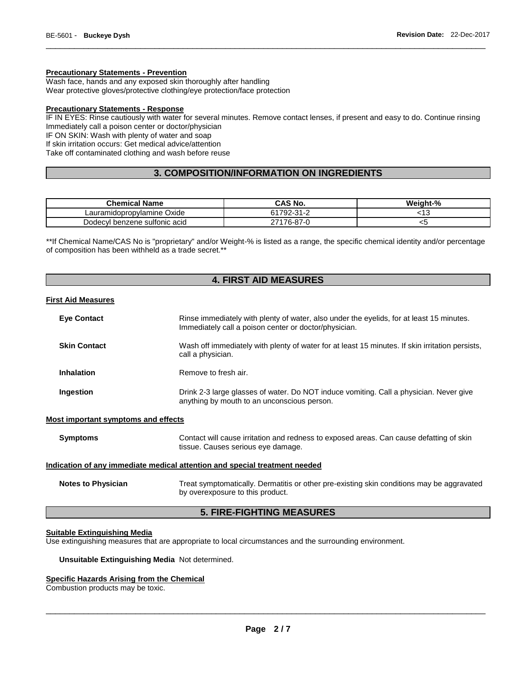# **Precautionary Statements - Prevention**

Wash face, hands and any exposed skin thoroughly after handling Wear protective gloves/protective clothing/eye protection/face protection

## **Precautionary Statements - Response**

IF IN EYES: Rinse cautiously with water for several minutes. Remove contact lenses, if present and easy to do. Continue rinsing Immediately call a poison center or doctor/physician

\_\_\_\_\_\_\_\_\_\_\_\_\_\_\_\_\_\_\_\_\_\_\_\_\_\_\_\_\_\_\_\_\_\_\_\_\_\_\_\_\_\_\_\_\_\_\_\_\_\_\_\_\_\_\_\_\_\_\_\_\_\_\_\_\_\_\_\_\_\_\_\_\_\_\_\_\_\_\_\_\_\_\_\_\_\_\_\_\_\_\_\_\_

IF ON SKIN: Wash with plenty of water and soap

If skin irritation occurs: Get medical advice/attention

Take off contaminated clothing and wash before reuse

# **3. COMPOSITION/INFORMATION ON INGREDIENTS**

| <b>Chemical Name</b>            | CAS No.        | Weight-% |
|---------------------------------|----------------|----------|
| Oxide<br>Lauramidopropvlamine ( | 792-31-2<br>וס | ن ا      |
| Dodecyl benzene sultonic acid   | 27176-87-0     | ◡        |

\*\*If Chemical Name/CAS No is "proprietary" and/or Weight-% is listed as a range, the specific chemical identity and/or percentage of composition has been withheld as a trade secret.\*\*

# **4. FIRST AID MEASURES**

# **First Aid Measures**

| <b>Eye Contact</b>                         | Rinse immediately with plenty of water, also under the eyelids, for at least 15 minutes.                                              |  |  |  |
|--------------------------------------------|---------------------------------------------------------------------------------------------------------------------------------------|--|--|--|
|                                            | Immediately call a poison center or doctor/physician.                                                                                 |  |  |  |
| <b>Skin Contact</b>                        | Wash off immediately with plenty of water for at least 15 minutes. If skin irritation persists,<br>call a physician.                  |  |  |  |
| <b>Inhalation</b>                          | Remove to fresh air.                                                                                                                  |  |  |  |
| Ingestion                                  | Drink 2-3 large glasses of water. Do NOT induce vomiting. Call a physician. Never give<br>anything by mouth to an unconscious person. |  |  |  |
| <b>Most important symptoms and effects</b> |                                                                                                                                       |  |  |  |
| <b>Symptoms</b>                            | Contact will cause irritation and redness to exposed areas. Can cause defatting of skin<br>tissue. Causes serious eye damage.         |  |  |  |
|                                            | Indication of any immediate medical attention and special treatment needed                                                            |  |  |  |
| <b>Notes to Physician</b>                  | Treat symptomatically. Dermatitis or other pre-existing skin conditions may be aggravated<br>by overexposure to this product.         |  |  |  |
| <b>5. FIRE-FIGHTING MEASURES</b>           |                                                                                                                                       |  |  |  |

# **Suitable Extinguishing Media**

Use extinguishing measures that are appropriate to local circumstances and the surrounding environment.

#### **Unsuitable Extinguishing Media** Not determined.

# **Specific Hazards Arising from the Chemical**

Combustion products may be toxic.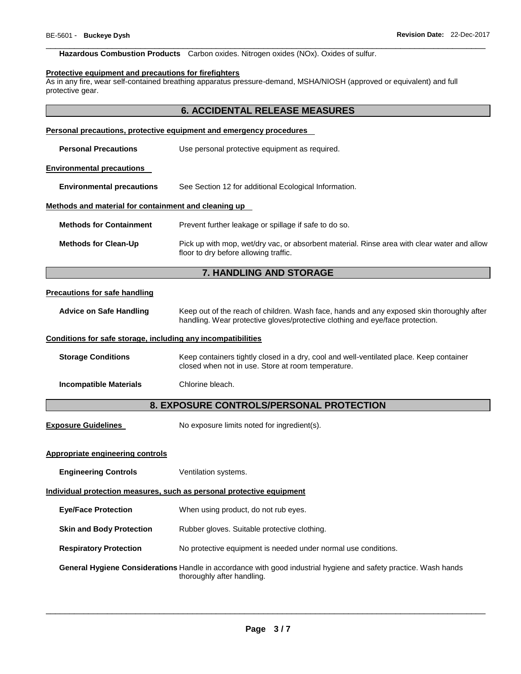# **Hazardous Combustion Products** Carbon oxides. Nitrogen oxides (NOx). Oxides of sulfur.

#### **Protective equipment and precautions for firefighters**

As in any fire, wear self-contained breathing apparatus pressure-demand, MSHA/NIOSH (approved or equivalent) and full protective gear.

\_\_\_\_\_\_\_\_\_\_\_\_\_\_\_\_\_\_\_\_\_\_\_\_\_\_\_\_\_\_\_\_\_\_\_\_\_\_\_\_\_\_\_\_\_\_\_\_\_\_\_\_\_\_\_\_\_\_\_\_\_\_\_\_\_\_\_\_\_\_\_\_\_\_\_\_\_\_\_\_\_\_\_\_\_\_\_\_\_\_\_\_\_

|                                                                       | <b>6. ACCIDENTAL RELEASE MEASURES</b>                                                                                                                                      |  |  |
|-----------------------------------------------------------------------|----------------------------------------------------------------------------------------------------------------------------------------------------------------------------|--|--|
|                                                                       | Personal precautions, protective equipment and emergency procedures                                                                                                        |  |  |
| <b>Personal Precautions</b>                                           | Use personal protective equipment as required.                                                                                                                             |  |  |
| <b>Environmental precautions</b>                                      |                                                                                                                                                                            |  |  |
| <b>Environmental precautions</b>                                      | See Section 12 for additional Ecological Information.                                                                                                                      |  |  |
| Methods and material for containment and cleaning up                  |                                                                                                                                                                            |  |  |
| <b>Methods for Containment</b>                                        | Prevent further leakage or spillage if safe to do so.                                                                                                                      |  |  |
| <b>Methods for Clean-Up</b>                                           | Pick up with mop, wet/dry vac, or absorbent material. Rinse area with clear water and allow<br>floor to dry before allowing traffic.                                       |  |  |
|                                                                       | <b>7. HANDLING AND STORAGE</b>                                                                                                                                             |  |  |
| <b>Precautions for safe handling</b>                                  |                                                                                                                                                                            |  |  |
| <b>Advice on Safe Handling</b>                                        | Keep out of the reach of children. Wash face, hands and any exposed skin thoroughly after<br>handling. Wear protective gloves/protective clothing and eye/face protection. |  |  |
| Conditions for safe storage, including any incompatibilities          |                                                                                                                                                                            |  |  |
| <b>Storage Conditions</b>                                             | Keep containers tightly closed in a dry, cool and well-ventilated place. Keep container<br>closed when not in use. Store at room temperature.                              |  |  |
| <b>Incompatible Materials</b>                                         | Chlorine bleach.                                                                                                                                                           |  |  |
|                                                                       | 8. EXPOSURE CONTROLS/PERSONAL PROTECTION                                                                                                                                   |  |  |
| <b>Exposure Guidelines</b>                                            | No exposure limits noted for ingredient(s).                                                                                                                                |  |  |
| Appropriate engineering controls                                      |                                                                                                                                                                            |  |  |
| <b>Engineering Controls</b>                                           | Ventilation systems.                                                                                                                                                       |  |  |
| Individual protection measures, such as personal protective equipment |                                                                                                                                                                            |  |  |
| <b>Eye/Face Protection</b>                                            | When using product, do not rub eyes.                                                                                                                                       |  |  |
| <b>Skin and Body Protection</b>                                       | Rubber gloves. Suitable protective clothing.                                                                                                                               |  |  |
| <b>Respiratory Protection</b>                                         | No protective equipment is needed under normal use conditions.                                                                                                             |  |  |
|                                                                       | General Hygiene Considerations Handle in accordance with good industrial hygiene and safety practice. Wash hands<br>thoroughly after handling.                             |  |  |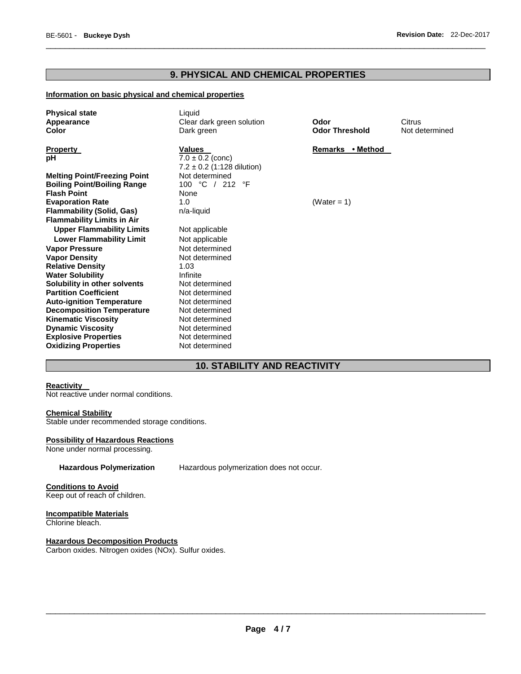# **9. PHYSICAL AND CHEMICAL PROPERTIES**

\_\_\_\_\_\_\_\_\_\_\_\_\_\_\_\_\_\_\_\_\_\_\_\_\_\_\_\_\_\_\_\_\_\_\_\_\_\_\_\_\_\_\_\_\_\_\_\_\_\_\_\_\_\_\_\_\_\_\_\_\_\_\_\_\_\_\_\_\_\_\_\_\_\_\_\_\_\_\_\_\_\_\_\_\_\_\_\_\_\_\_\_\_

# **Information on basic physical and chemical properties**

| <b>Physical state</b><br>Appearance<br><b>Color</b> | Liquid<br>Clear dark green solution<br>Dark green                       | Odor<br><b>Odor Threshold</b> | Citrus<br>Not determined |
|-----------------------------------------------------|-------------------------------------------------------------------------|-------------------------------|--------------------------|
| <b>Property</b><br>pH                               | <b>Values</b><br>$7.0 \pm 0.2$ (conc)<br>$7.2 \pm 0.2$ (1:128 dilution) | Remarks • Method              |                          |
| <b>Melting Point/Freezing Point</b>                 | Not determined                                                          |                               |                          |
| <b>Boiling Point/Boiling Range</b>                  | 100 °C / 212 °F                                                         |                               |                          |
| <b>Flash Point</b>                                  | None                                                                    |                               |                          |
| <b>Evaporation Rate</b>                             | 1.0                                                                     | (Water = 1)                   |                          |
| <b>Flammability (Solid, Gas)</b>                    | n/a-liquid                                                              |                               |                          |
| <b>Flammability Limits in Air</b>                   |                                                                         |                               |                          |
| <b>Upper Flammability Limits</b>                    | Not applicable                                                          |                               |                          |
| <b>Lower Flammability Limit</b>                     | Not applicable                                                          |                               |                          |
| <b>Vapor Pressure</b>                               | Not determined                                                          |                               |                          |
| <b>Vapor Density</b>                                | Not determined                                                          |                               |                          |
| <b>Relative Density</b>                             | 1.03                                                                    |                               |                          |
| <b>Water Solubility</b>                             | Infinite                                                                |                               |                          |
| Solubility in other solvents                        | Not determined                                                          |                               |                          |
| <b>Partition Coefficient</b>                        | Not determined                                                          |                               |                          |
| <b>Auto-ignition Temperature</b>                    | Not determined                                                          |                               |                          |
| <b>Decomposition Temperature</b>                    | Not determined                                                          |                               |                          |
| <b>Kinematic Viscosity</b>                          | Not determined                                                          |                               |                          |
| <b>Dynamic Viscosity</b>                            | Not determined                                                          |                               |                          |
| <b>Explosive Properties</b>                         | Not determined                                                          |                               |                          |
| <b>Oxidizing Properties</b>                         | Not determined                                                          |                               |                          |

# **10. STABILITY AND REACTIVITY**

# **Reactivity**

**Not reactive under normal conditions.** 

# **Chemical Stability**

Stable under recommended storage conditions.

# **Possibility of Hazardous Reactions**

None under normal processing.

**Hazardous Polymerization** Hazardous polymerization does not occur.

**Conditions to Avoid** Keep out of reach of children.

#### **Incompatible Materials** Chlorine bleach.

**Hazardous Decomposition Products** Carbon oxides. Nitrogen oxides (NOx). Sulfur oxides.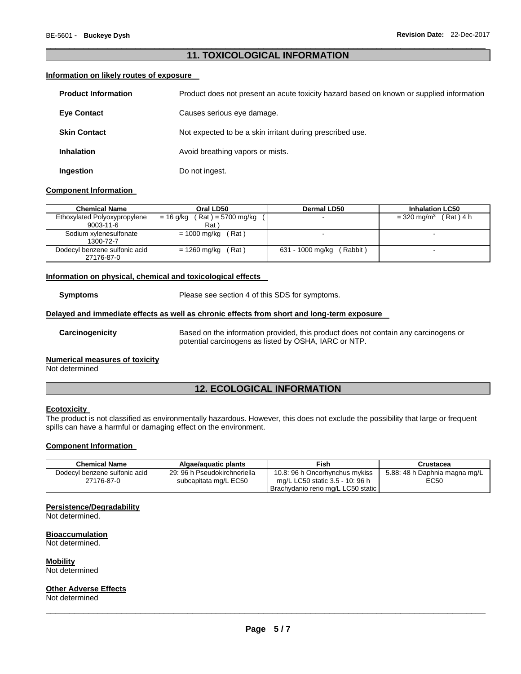# \_\_\_\_\_\_\_\_\_\_\_\_\_\_\_\_\_\_\_\_\_\_\_\_\_\_\_\_\_\_\_\_\_\_\_\_\_\_\_\_\_\_\_\_\_\_\_\_\_\_\_\_\_\_\_\_\_\_\_\_\_\_\_\_\_\_\_\_\_\_\_\_\_\_\_\_\_\_\_\_\_\_\_\_\_\_\_\_\_\_\_\_\_ **11. TOXICOLOGICAL INFORMATION**

# **Information on likely routes of exposure**

| <b>Product Information</b> | Product does not present an acute toxicity hazard based on known or supplied information |
|----------------------------|------------------------------------------------------------------------------------------|
| <b>Eve Contact</b>         | Causes serious eye damage.                                                               |
| <b>Skin Contact</b>        | Not expected to be a skin irritant during prescribed use.                                |
| <b>Inhalation</b>          | Avoid breathing vapors or mists.                                                         |
| Ingestion                  | Do not ingest.                                                                           |

#### **Component Information**

| <b>Chemical Name</b>                        | Oral LD50                         | Dermal LD50                  | <b>Inhalation LC50</b>                |  |
|---------------------------------------------|-----------------------------------|------------------------------|---------------------------------------|--|
| Ethoxylated Polyoxypropylene                | = 16 g/kg<br>( Rat ) = 5700 mg/kg |                              | $(Rat)$ 4 h<br>$= 320 \text{ mg/m}^3$ |  |
| $9003 - 11 - 6$                             | Rat )                             |                              |                                       |  |
| Sodium xylenesulfonate<br>1300-72-7         | = 1000 mg/kg<br>(Rat)             |                              |                                       |  |
| Dodecyl benzene sulfonic acid<br>27176-87-0 | (Rat)<br>= 1260 mg/kg             | (Rabbit)<br>631 - 1000 mg/kg |                                       |  |

# **Information on physical, chemical and toxicological effects**

**Symptoms** Please see section 4 of this SDS for symptoms.

# **Delayed and immediate effects as well as chronic effects from short and long-term exposure**

**Carcinogenicity** Based on the information provided, this product does not contain any carcinogens or potential carcinogens as listed by OSHA, IARC or NTP.

# **Numerical measures of toxicity**

Not determined

# **12. ECOLOGICAL INFORMATION**

#### **Ecotoxicity**

The product is not classified as environmentally hazardous. However, this does not exclude the possibility that large or frequent spills can have a harmful or damaging effect on the environment.

#### **Component Information**

| <b>Chemical Name</b>          | Algae/aquatic plants         | Fish                               | Crustacea                     |  |
|-------------------------------|------------------------------|------------------------------------|-------------------------------|--|
| Dodecyl benzene sulfonic acid | 29: 96 h Pseudokirchneriella | 10.8: 96 h Oncorhynchus mykiss     | 5.88: 48 h Daphnia magna mg/L |  |
| 27176-87-0                    | subcapitata mg/L EC50        | mg/L LC50 static 3.5 - 10: 96 h    | EC50                          |  |
|                               |                              | Brachydanio rerio mg/L LC50 static |                               |  |

# **Persistence/Degradability**

Not determined.

#### **Bioaccumulation** Not determined.

**Mobility**

Not determined

# **Other Adverse Effects**

Not determined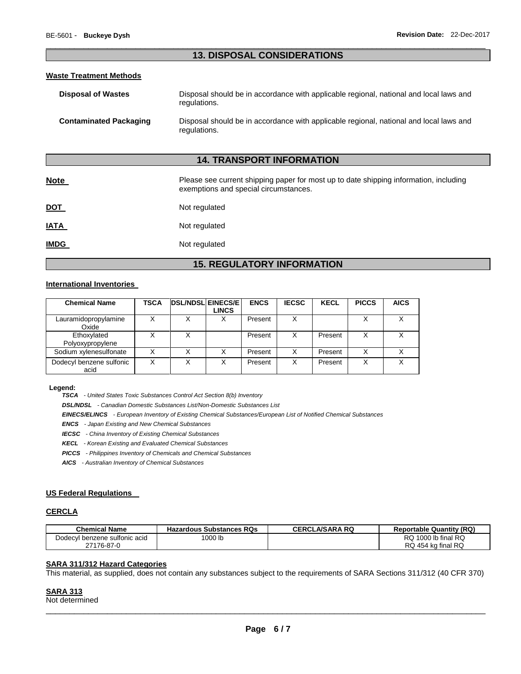# \_\_\_\_\_\_\_\_\_\_\_\_\_\_\_\_\_\_\_\_\_\_\_\_\_\_\_\_\_\_\_\_\_\_\_\_\_\_\_\_\_\_\_\_\_\_\_\_\_\_\_\_\_\_\_\_\_\_\_\_\_\_\_\_\_\_\_\_\_\_\_\_\_\_\_\_\_\_\_\_\_\_\_\_\_\_\_\_\_\_\_\_\_ **13. DISPOSAL CONSIDERATIONS**

### **Waste Treatment Methods**

| <b>Disposal of Wastes</b>     | Disposal should be in accordance with applicable regional, national and local laws and<br>regulations. |
|-------------------------------|--------------------------------------------------------------------------------------------------------|
| <b>Contaminated Packaging</b> | Disposal should be in accordance with applicable regional, national and local laws and<br>regulations. |

# **14. TRANSPORT INFORMATION**

| <b>Note</b> | Please see current shipping paper for most up to date shipping information, including<br>exemptions and special circumstances. |
|-------------|--------------------------------------------------------------------------------------------------------------------------------|
| <u>DOT</u>  | Not regulated                                                                                                                  |
| <b>IATA</b> | Not regulated                                                                                                                  |
| <b>IMDG</b> | Not regulated                                                                                                                  |

# **15. REGULATORY INFORMATION**

# **International Inventories**

| <b>Chemical Name</b>             | TSCA | <b>DSL/NDSL EINECS/E</b> | LINCS | <b>ENCS</b> | <b>IECSC</b> | <b>KECL</b> | <b>PICCS</b> | <b>AICS</b> |
|----------------------------------|------|--------------------------|-------|-------------|--------------|-------------|--------------|-------------|
| Lauramidopropylamine<br>Oxide    | X    | х                        | х     | Present     | X            |             |              |             |
| Ethoxylated<br>Polyoxypropylene  |      | X                        |       | Present     | X            | Present     | x            |             |
| Sodium xylenesulfonate           | Χ    | Χ                        |       | Present     | Χ            | Present     |              |             |
| Dodecyl benzene sulfonic<br>acid | Χ    | Χ                        | х     | Present     | X            | Present     | X            |             |

#### **Legend:**

*TSCA - United States Toxic Substances Control Act Section 8(b) Inventory* 

*DSL/NDSL - Canadian Domestic Substances List/Non-Domestic Substances List* 

*EINECS/ELINCS - European Inventory of Existing Chemical Substances/European List of Notified Chemical Substances* 

*ENCS - Japan Existing and New Chemical Substances* 

*IECSC - China Inventory of Existing Chemical Substances* 

*KECL - Korean Existing and Evaluated Chemical Substances* 

*PICCS - Philippines Inventory of Chemicals and Chemical Substances* 

*AICS - Australian Inventory of Chemical Substances* 

# **US Federal Regulations**

# **CERCLA**

| <b>Chemical Name</b>          | <b>Hazardous Substances RQs</b> | <b>CERCLA/SARA RQ</b> | <b>Reportable Quantity (RQ)</b> |
|-------------------------------|---------------------------------|-----------------------|---------------------------------|
| Dodecyl benzene sulfonic acid | 1000 lb                         |                       | $\,$ 1000 lb final RQ<br>RQ.    |
| 27176-87-0                    |                                 |                       | RQ 454 kg final RQ              |

# **SARA 311/312 Hazard Categories**

This material, as supplied, does not contain any substances subject to the requirements of SARA Sections 311/312 (40 CFR 370)

#### **SARA 313**

Not determined